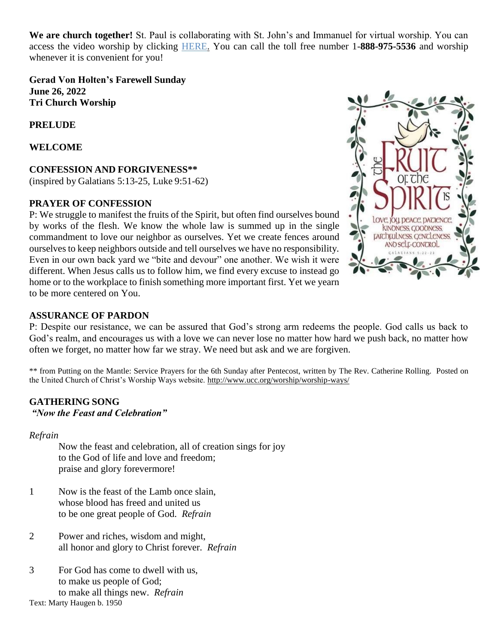**We are church together!** St. Paul is collaborating with St. John's and Immanuel for virtual worship. You can access the video worship by clicking [HERE.](https://stpaulsterling.com/sermons/6-26-22-online-worship) You can call the toll free number 1-**888-975-5536** and worship whenever it is convenient for you!

**Gerad Von Holten's Farewell Sunday June 26, 2022 Tri Church Worship**

**PRELUDE**

**WELCOME**

**CONFESSION AND FORGIVENESS\*\***

(inspired by Galatians 5:13-25, Luke 9:51-62)

# **PRAYER OF CONFESSION**

P: We struggle to manifest the fruits of the Spirit, but often find ourselves bound by works of the flesh. We know the whole law is summed up in the single commandment to love our neighbor as ourselves. Yet we create fences around ourselves to keep neighbors outside and tell ourselves we have no responsibility. Even in our own back yard we "bite and devour" one another. We wish it were different. When Jesus calls us to follow him, we find every excuse to instead go home or to the workplace to finish something more important first. Yet we yearn to be more centered on You.



# **ASSURANCE OF PARDON**

P: Despite our resistance, we can be assured that God's strong arm redeems the people. God calls us back to God's realm, and encourages us with a love we can never lose no matter how hard we push back, no matter how often we forget, no matter how far we stray. We need but ask and we are forgiven.

\*\* from Putting on the Mantle: Service Prayers for the 6th Sunday after Pentecost, written by The Rev. Catherine Rolling. Posted on the United Church of Christ's Worship Ways website.<http://www.ucc.org/worship/worship-ways/>

#### **GATHERING SONG** *"Now the Feast and Celebration"*

*Refrain*

Now the feast and celebration, all of creation sings for joy to the God of life and love and freedom; praise and glory forevermore!

- 1 Now is the feast of the Lamb once slain, whose blood has freed and united us to be one great people of God. *Refrain*
- 2 Power and riches, wisdom and might, all honor and glory to Christ forever. *Refrain*
- 3 For God has come to dwell with us, to make us people of God; to make all things new. *Refrain* Text: Marty Haugen b. 1950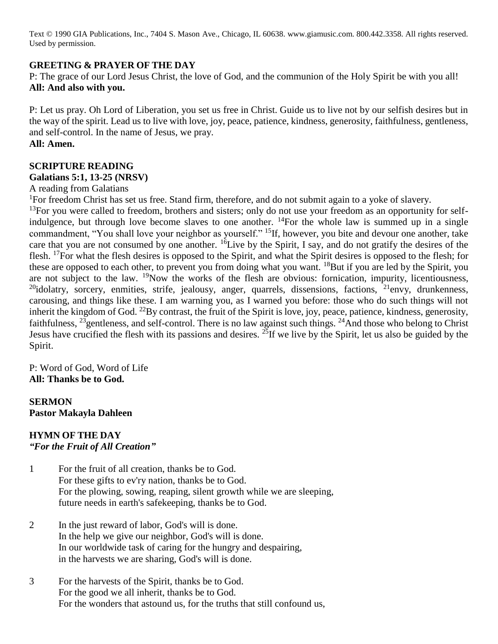Text © 1990 GIA Publications, Inc., 7404 S. Mason Ave., Chicago, IL 60638. www.giamusic.com. 800.442.3358. All rights reserved. Used by permission.

## **GREETING & PRAYER OF THE DAY**

P: The grace of our Lord Jesus Christ, the love of God, and the communion of the Holy Spirit be with you all! **All: And also with you.**

P: Let us pray. Oh Lord of Liberation, you set us free in Christ. Guide us to live not by our selfish desires but in the way of the spirit. Lead us to live with love, joy, peace, patience, kindness, generosity, faithfulness, gentleness, and self-control. In the name of Jesus, we pray. **All: Amen.**

## **SCRIPTURE READING**

#### **Galatians 5:1, 13-25 (NRSV)**

### A reading from Galatians

<sup>1</sup>For freedom Christ has set us free. Stand firm, therefore, and do not submit again to a yoke of slavery.

<sup>13</sup>For you were called to freedom, brothers and sisters; only do not use your freedom as an opportunity for selfindulgence, but through love become slaves to one another. <sup>14</sup>For the whole law is summed up in a single commandment, "You shall love your neighbor as yourself." <sup>15</sup>If, however, you bite and devour one another, take care that you are not consumed by one another. <sup>16</sup>Live by the Spirit, I say, and do not gratify the desires of the flesh. <sup>17</sup>For what the flesh desires is opposed to the Spirit, and what the Spirit desires is opposed to the flesh; for these are opposed to each other, to prevent you from doing what you want. <sup>18</sup>But if you are led by the Spirit, you are not subject to the law. <sup>19</sup>Now the works of the flesh are obvious: fornication, impurity, licentiousness,  $^{20}$ idolatry, sorcery, enmities, strife, jealousy, anger, quarrels, dissensions, factions,  $^{21}$ envy, drunkenness, carousing, and things like these. I am warning you, as I warned you before: those who do such things will not inherit the kingdom of God. <sup>22</sup>By contrast, the fruit of the Spirit is love, joy, peace, patience, kindness, generosity, faithfulness, <sup>23</sup>gentleness, and self-control. There is no law against such things. <sup>24</sup>And those who belong to Christ Jesus have crucified the flesh with its passions and desires. <sup>25</sup>If we live by the Spirit, let us also be guided by the Spirit.

P: Word of God, Word of Life **All: Thanks be to God.** 

**SERMON Pastor Makayla Dahleen**

# **HYMN OF THE DAY**

*"For the Fruit of All Creation"*

- 1 For the fruit of all creation, thanks be to God. For these gifts to ev'ry nation, thanks be to God. For the plowing, sowing, reaping, silent growth while we are sleeping, future needs in earth's safekeeping, thanks be to God.
- 2 In the just reward of labor, God's will is done. In the help we give our neighbor, God's will is done. In our worldwide task of caring for the hungry and despairing, in the harvests we are sharing, God's will is done.
- 3 For the harvests of the Spirit, thanks be to God. For the good we all inherit, thanks be to God. For the wonders that astound us, for the truths that still confound us,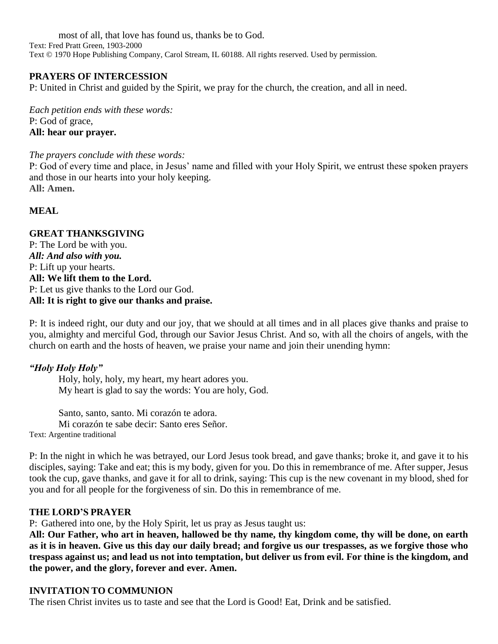most of all, that love has found us, thanks be to God. Text: Fred Pratt Green, 1903-2000 Text © 1970 Hope Publishing Company, Carol Stream, IL 60188. All rights reserved. Used by permission.

# **PRAYERS OF INTERCESSION**

P: United in Christ and guided by the Spirit, we pray for the church, the creation, and all in need.

*Each petition ends with these words:* P: God of grace, **All: hear our prayer.**

*The prayers conclude with these words:*

P: God of every time and place, in Jesus' name and filled with your Holy Spirit, we entrust these spoken prayers and those in our hearts into your holy keeping. **All: Amen.**

# **MEAL**

**GREAT THANKSGIVING** P: The Lord be with you. *All: And also with you.* P: Lift up your hearts. **All: We lift them to the Lord.** P: Let us give thanks to the Lord our God. **All: It is right to give our thanks and praise.**

P: It is indeed right, our duty and our joy, that we should at all times and in all places give thanks and praise to you, almighty and merciful God, through our Savior Jesus Christ. And so, with all the choirs of angels, with the church on earth and the hosts of heaven, we praise your name and join their unending hymn:

# *"Holy Holy Holy"*

Holy, holy, holy, my heart, my heart adores you. My heart is glad to say the words: You are holy, God.

Santo, santo, santo. Mi corazón te adora. Mi corazón te sabe decir: Santo eres Señor. Text: Argentine traditional

P: In the night in which he was betrayed, our Lord Jesus took bread, and gave thanks; broke it, and gave it to his disciples, saying: Take and eat; this is my body, given for you. Do this in remembrance of me. After supper, Jesus took the cup, gave thanks, and gave it for all to drink, saying: This cup is the new covenant in my blood, shed for you and for all people for the forgiveness of sin. Do this in remembrance of me.

# **THE LORD'S PRAYER**

P: Gathered into one, by the Holy Spirit, let us pray as Jesus taught us:

**All: Our Father, who art in heaven, hallowed be thy name, thy kingdom come, thy will be done, on earth as it is in heaven. Give us this day our daily bread; and forgive us our trespasses, as we forgive those who trespass against us; and lead us not into temptation, but deliver us from evil. For thine is the kingdom, and the power, and the glory, forever and ever. Amen.**

### **INVITATION TO COMMUNION**

The risen Christ invites us to taste and see that the Lord is Good! Eat, Drink and be satisfied.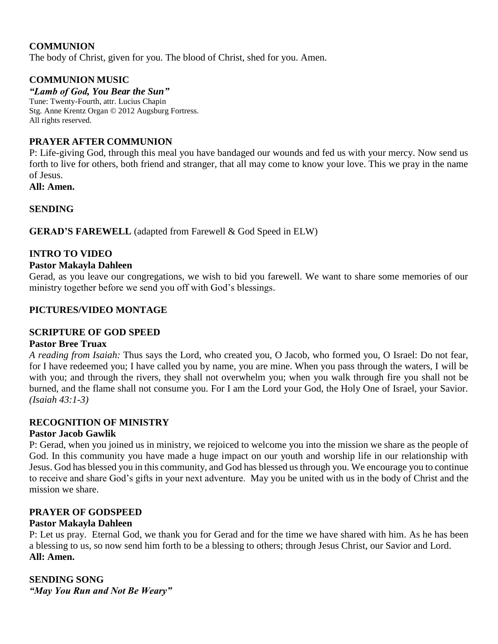# **COMMUNION**

The body of Christ, given for you. The blood of Christ, shed for you. Amen.

# **COMMUNION MUSIC**

*"Lamb of God, You Bear the Sun"* Tune: Twenty-Fourth, attr. Lucius Chapin Stg. Anne Krentz Organ © 2012 Augsburg Fortress. All rights reserved.

# **PRAYER AFTER COMMUNION**

P: Life-giving God, through this meal you have bandaged our wounds and fed us with your mercy. Now send us forth to live for others, both friend and stranger, that all may come to know your love. This we pray in the name of Jesus.

**All: Amen.**

# **SENDING**

**GERAD'S FAREWELL** (adapted from Farewell & God Speed in ELW)

## **INTRO TO VIDEO**

#### **Pastor Makayla Dahleen**

Gerad, as you leave our congregations, we wish to bid you farewell. We want to share some memories of our ministry together before we send you off with God's blessings.

### **PICTURES/VIDEO MONTAGE**

### **SCRIPTURE OF GOD SPEED**

#### **Pastor Bree Truax**

*A reading from Isaiah:* Thus says the Lord, who created you, O Jacob, who formed you, O Israel: Do not fear, for I have redeemed you; I have called you by name, you are mine. When you pass through the waters, I will be with you; and through the rivers, they shall not overwhelm you; when you walk through fire you shall not be burned, and the flame shall not consume you. For I am the Lord your God, the Holy One of Israel, your Savior. *(Isaiah 43:1-3)*

### **RECOGNITION OF MINISTRY**

### **Pastor Jacob Gawlik**

P: Gerad, when you joined us in ministry, we rejoiced to welcome you into the mission we share as the people of God. In this community you have made a huge impact on our youth and worship life in our relationship with Jesus. God has blessed you in this community, and God has blessed us through you. We encourage you to continue to receive and share God's gifts in your next adventure. May you be united with us in the body of Christ and the mission we share.

# **PRAYER OF GODSPEED**

### **Pastor Makayla Dahleen**

P: Let us pray. Eternal God, we thank you for Gerad and for the time we have shared with him*.* As he has been a blessing to us, so now send him forth to be a blessing to others; through Jesus Christ, our Savior and Lord. **All: Amen.**

# **SENDING SONG**

*"May You Run and Not Be Weary"*